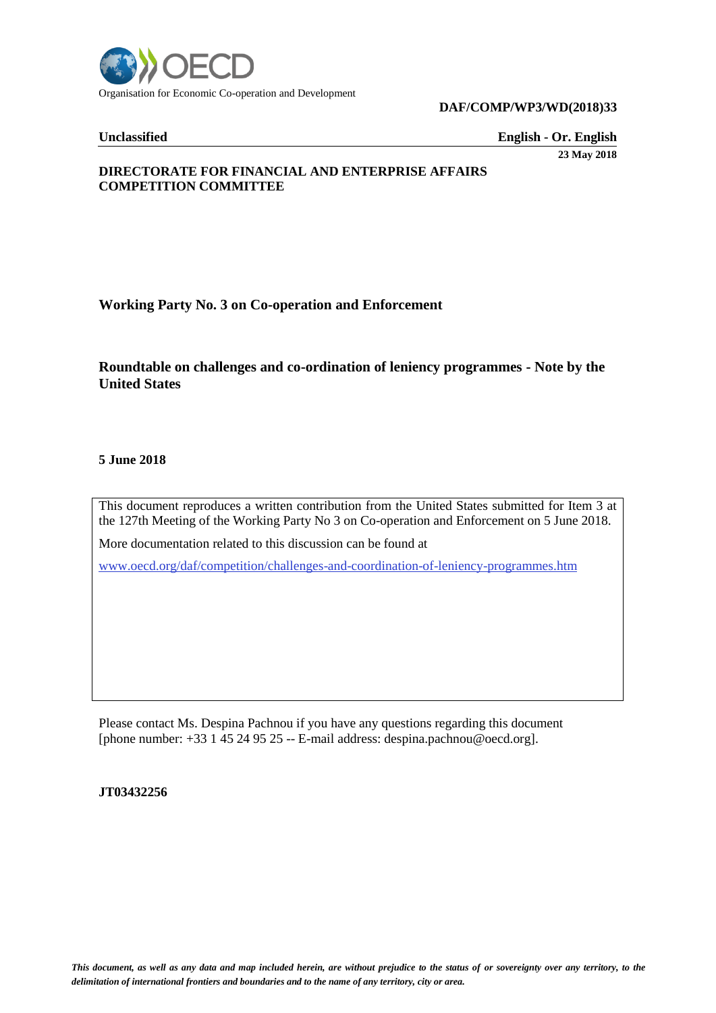

#### **DAF/COMP/WP3/WD(2018)33**

**Unclassified English - Or. English** 

**23 May 2018**

# **DIRECTORATE FOR FINANCIAL AND ENTERPRISE AFFAIRS COMPETITION COMMITTEE**

**Working Party No. 3 on Co-operation and Enforcement** 

# **Roundtable on challenges and co-ordination of leniency programmes - Note by the United States**

#### **5 June 2018**

This document reproduces a written contribution from the United States submitted for Item 3 at the 127th Meeting of the Working Party No 3 on Co-operation and Enforcement on 5 June 2018.

More documentation related to this discussion can be found at

[www.oecd.org/daf/competition/challenges-and-coordination-of-leniency-programmes.htm](http://www.oecd.org/daf/competition/challenges-and-coordination-of-leniency-programmes.htm)

Please contact Ms. Despina Pachnou if you have any questions regarding this document [phone number: +33 1 45 24 95 25 -- E-mail address: despina.pachnou@oecd.org].

#### **JT03432256**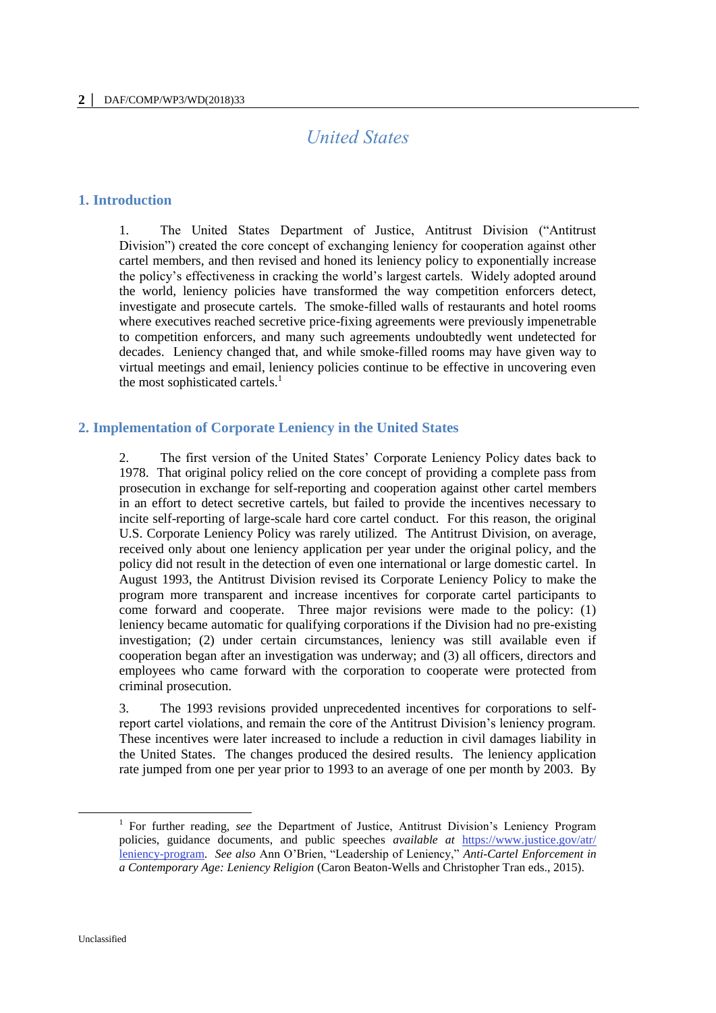# *United States*

# **1. Introduction**

1. The United States Department of Justice, Antitrust Division ("Antitrust Division") created the core concept of exchanging leniency for cooperation against other cartel members, and then revised and honed its leniency policy to exponentially increase the policy's effectiveness in cracking the world's largest cartels. Widely adopted around the world, leniency policies have transformed the way competition enforcers detect, investigate and prosecute cartels. The smoke-filled walls of restaurants and hotel rooms where executives reached secretive price-fixing agreements were previously impenetrable to competition enforcers, and many such agreements undoubtedly went undetected for decades. Leniency changed that, and while smoke-filled rooms may have given way to virtual meetings and email, leniency policies continue to be effective in uncovering even the most sophisticated cartels. $<sup>1</sup>$ </sup>

# **2. Implementation of Corporate Leniency in the United States**

2. The first version of the United States' Corporate Leniency Policy dates back to 1978. That original policy relied on the core concept of providing a complete pass from prosecution in exchange for self-reporting and cooperation against other cartel members in an effort to detect secretive cartels, but failed to provide the incentives necessary to incite self-reporting of large-scale hard core cartel conduct. For this reason, the original U.S. Corporate Leniency Policy was rarely utilized. The Antitrust Division, on average, received only about one leniency application per year under the original policy, and the policy did not result in the detection of even one international or large domestic cartel. In August 1993, the Antitrust Division revised its Corporate Leniency Policy to make the program more transparent and increase incentives for corporate cartel participants to come forward and cooperate. Three major revisions were made to the policy: (1) leniency became automatic for qualifying corporations if the Division had no pre-existing investigation; (2) under certain circumstances, leniency was still available even if cooperation began after an investigation was underway; and (3) all officers, directors and employees who came forward with the corporation to cooperate were protected from criminal prosecution.

3. The 1993 revisions provided unprecedented incentives for corporations to selfreport cartel violations, and remain the core of the Antitrust Division's leniency program. These incentives were later increased to include a reduction in civil damages liability in the United States. The changes produced the desired results. The leniency application rate jumped from one per year prior to 1993 to an average of one per month by 2003. By

 $\overline{a}$ 

<sup>&</sup>lt;sup>1</sup> For further reading, see the Department of Justice, Antitrust Division's Leniency Program policies, guidance documents, and public speeches *available at* [https://www.justice.gov/atr/](https://www.justice.gov/atr/%20leniency-program)  [leniency-program.](https://www.justice.gov/atr/%20leniency-program) *See also* Ann O'Brien, "Leadership of Leniency," *Anti-Cartel Enforcement in a Contemporary Age: Leniency Religion* (Caron Beaton-Wells and Christopher Tran eds., 2015).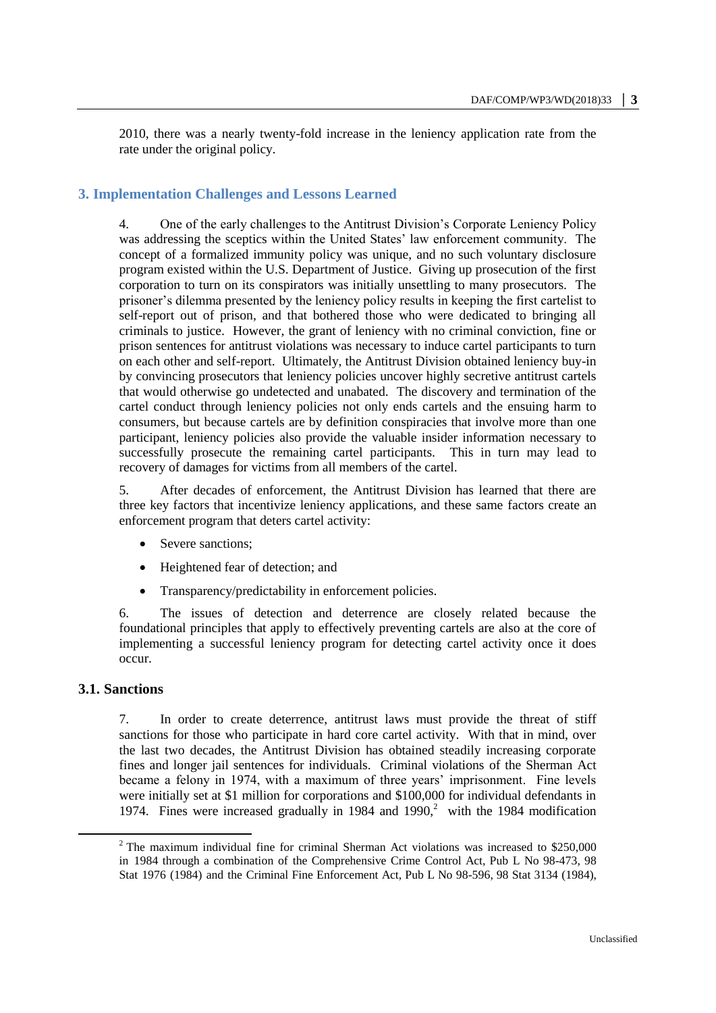2010, there was a nearly twenty-fold increase in the leniency application rate from the rate under the original policy.

# **3. Implementation Challenges and Lessons Learned**

4. One of the early challenges to the Antitrust Division's Corporate Leniency Policy was addressing the sceptics within the United States' law enforcement community. The concept of a formalized immunity policy was unique, and no such voluntary disclosure program existed within the U.S. Department of Justice. Giving up prosecution of the first corporation to turn on its conspirators was initially unsettling to many prosecutors. The prisoner's dilemma presented by the leniency policy results in keeping the first cartelist to self-report out of prison, and that bothered those who were dedicated to bringing all criminals to justice. However, the grant of leniency with no criminal conviction, fine or prison sentences for antitrust violations was necessary to induce cartel participants to turn on each other and self-report. Ultimately, the Antitrust Division obtained leniency buy-in by convincing prosecutors that leniency policies uncover highly secretive antitrust cartels that would otherwise go undetected and unabated. The discovery and termination of the cartel conduct through leniency policies not only ends cartels and the ensuing harm to consumers, but because cartels are by definition conspiracies that involve more than one participant, leniency policies also provide the valuable insider information necessary to successfully prosecute the remaining cartel participants. This in turn may lead to recovery of damages for victims from all members of the cartel.

5. After decades of enforcement, the Antitrust Division has learned that there are three key factors that incentivize leniency applications, and these same factors create an enforcement program that deters cartel activity:

- Severe sanctions;
- Heightened fear of detection; and
- Transparency/predictability in enforcement policies.

6. The issues of detection and deterrence are closely related because the foundational principles that apply to effectively preventing cartels are also at the core of implementing a successful leniency program for detecting cartel activity once it does occur.

#### **3.1. Sanctions**

 $\overline{a}$ 

7. In order to create deterrence, antitrust laws must provide the threat of stiff sanctions for those who participate in hard core cartel activity. With that in mind, over the last two decades, the Antitrust Division has obtained steadily increasing corporate fines and longer jail sentences for individuals. Criminal violations of the Sherman Act became a felony in 1974, with a maximum of three years' imprisonment. Fine levels were initially set at \$1 million for corporations and \$100,000 for individual defendants in 1974. Fines were increased gradually in 1984 and  $1990$ ,<sup>2</sup> with the 1984 modification

<sup>&</sup>lt;sup>2</sup> The maximum individual fine for criminal Sherman Act violations was increased to \$250,000 in 1984 through a combination of the Comprehensive Crime Control Act, Pub L No 98-473, 98 Stat 1976 (1984) and the Criminal Fine Enforcement Act, Pub L No 98-596, 98 Stat 3134 (1984),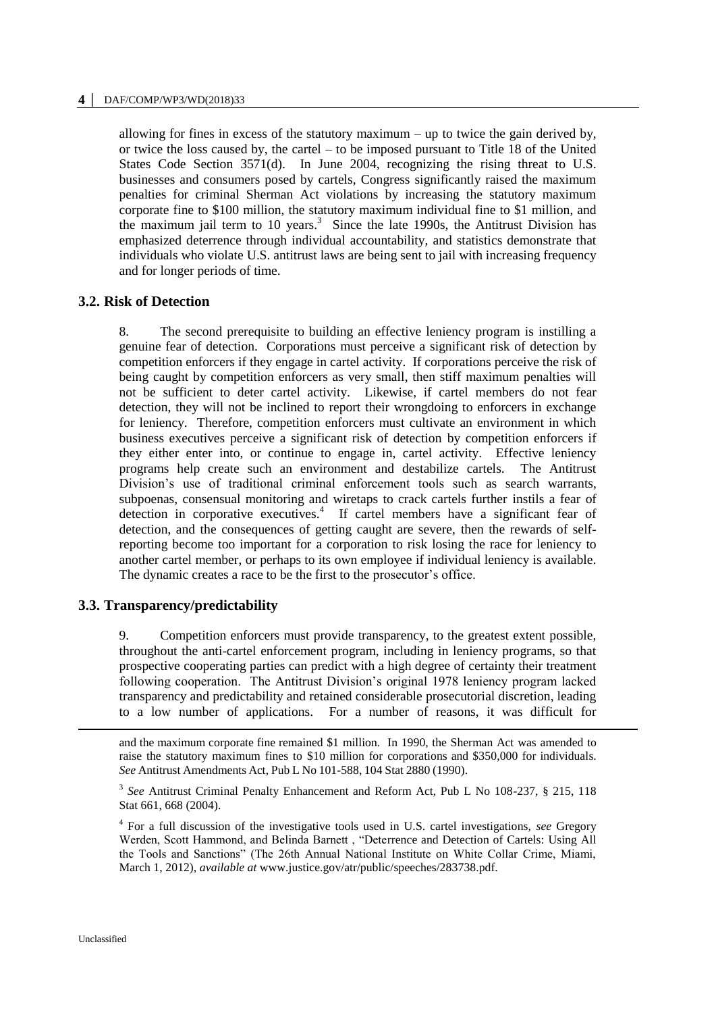#### **4 │** DAF/COMP/WP3/WD(2018)33

allowing for fines in excess of the statutory maximum – up to twice the gain derived by, or twice the loss caused by, the cartel – to be imposed pursuant to Title 18 of the United States Code Section 3571(d). In June 2004, recognizing the rising threat to U.S. businesses and consumers posed by cartels, Congress significantly raised the maximum penalties for criminal Sherman Act violations by increasing the statutory maximum corporate fine to \$100 million, the statutory maximum individual fine to \$1 million, and the maximum jail term to 10 years.<sup>3</sup> Since the late 1990s, the Antitrust Division has emphasized deterrence through individual accountability, and statistics demonstrate that individuals who violate U.S. antitrust laws are being sent to jail with increasing frequency and for longer periods of time.

#### **3.2. Risk of Detection**

8. The second prerequisite to building an effective leniency program is instilling a genuine fear of detection. Corporations must perceive a significant risk of detection by competition enforcers if they engage in cartel activity. If corporations perceive the risk of being caught by competition enforcers as very small, then stiff maximum penalties will not be sufficient to deter cartel activity. Likewise, if cartel members do not fear detection, they will not be inclined to report their wrongdoing to enforcers in exchange for leniency. Therefore, competition enforcers must cultivate an environment in which business executives perceive a significant risk of detection by competition enforcers if they either enter into, or continue to engage in, cartel activity. Effective leniency programs help create such an environment and destabilize cartels. The Antitrust Division's use of traditional criminal enforcement tools such as search warrants, subpoenas, consensual monitoring and wiretaps to crack cartels further instils a fear of detection in corporative executives.<sup>4</sup> If cartel members have a significant fear of detection, and the consequences of getting caught are severe, then the rewards of selfreporting become too important for a corporation to risk losing the race for leniency to another cartel member, or perhaps to its own employee if individual leniency is available. The dynamic creates a race to be the first to the prosecutor's office.

# **3.3. Transparency/predictability**

9. Competition enforcers must provide transparency, to the greatest extent possible, throughout the anti-cartel enforcement program, including in leniency programs, so that prospective cooperating parties can predict with a high degree of certainty their treatment following cooperation. The Antitrust Division's original 1978 leniency program lacked transparency and predictability and retained considerable prosecutorial discretion, leading to a low number of applications. For a number of reasons, it was difficult for

-

and the maximum corporate fine remained \$1 million. In 1990, the Sherman Act was amended to raise the statutory maximum fines to \$10 million for corporations and \$350,000 for individuals. *See* Antitrust Amendments Act, Pub L No 101-588, 104 Stat 2880 (1990).

<sup>&</sup>lt;sup>3</sup> See Antitrust Criminal Penalty Enhancement and Reform Act, Pub L No 108-237, § 215, 118 Stat 661, 668 (2004).

<sup>4</sup> For a full discussion of the investigative tools used in U.S. cartel investigations, *see* Gregory Werden, Scott Hammond, and Belinda Barnett , "Deterrence and Detection of Cartels: Using All the Tools and Sanctions" (The 26th Annual National Institute on White Collar Crime, Miami, March 1, 2012), *available at* www.justice.gov/atr/public/speeches/283738.pdf.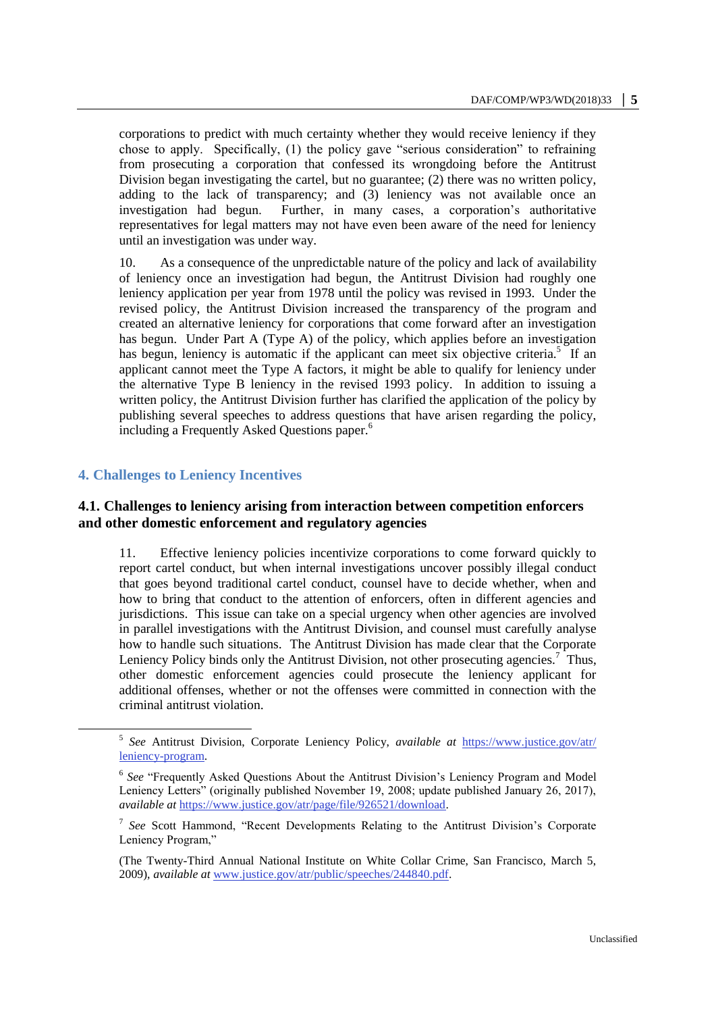corporations to predict with much certainty whether they would receive leniency if they chose to apply. Specifically, (1) the policy gave "serious consideration" to refraining from prosecuting a corporation that confessed its wrongdoing before the Antitrust Division began investigating the cartel, but no guarantee; (2) there was no written policy, adding to the lack of transparency; and (3) leniency was not available once an investigation had begun. Further, in many cases, a corporation's authoritative representatives for legal matters may not have even been aware of the need for leniency until an investigation was under way.

10. As a consequence of the unpredictable nature of the policy and lack of availability of leniency once an investigation had begun, the Antitrust Division had roughly one leniency application per year from 1978 until the policy was revised in 1993. Under the revised policy, the Antitrust Division increased the transparency of the program and created an alternative leniency for corporations that come forward after an investigation has begun. Under Part A (Type A) of the policy, which applies before an investigation has begun, leniency is automatic if the applicant can meet six objective criteria.<sup>5</sup> If an applicant cannot meet the Type A factors, it might be able to qualify for leniency under the alternative Type B leniency in the revised 1993 policy. In addition to issuing a written policy, the Antitrust Division further has clarified the application of the policy by publishing several speeches to address questions that have arisen regarding the policy, including a Frequently Asked Questions paper.<sup>6</sup>

# **4. Challenges to Leniency Incentives**

 $\overline{a}$ 

# **4.1. Challenges to leniency arising from interaction between competition enforcers and other domestic enforcement and regulatory agencies**

11. Effective leniency policies incentivize corporations to come forward quickly to report cartel conduct, but when internal investigations uncover possibly illegal conduct that goes beyond traditional cartel conduct, counsel have to decide whether, when and how to bring that conduct to the attention of enforcers, often in different agencies and jurisdictions. This issue can take on a special urgency when other agencies are involved in parallel investigations with the Antitrust Division, and counsel must carefully analyse how to handle such situations. The Antitrust Division has made clear that the Corporate Leniency Policy binds only the Antitrust Division, not other prosecuting agencies.<sup>7</sup> Thus, other domestic enforcement agencies could prosecute the leniency applicant for additional offenses, whether or not the offenses were committed in connection with the criminal antitrust violation.

<sup>5</sup> *See* Antitrust Division, Corporate Leniency Policy, *available at* [https://www.justice.gov/atr/](https://www.justice.gov/atr/%20leniency-program)  [leniency-program.](https://www.justice.gov/atr/%20leniency-program) 

<sup>&</sup>lt;sup>6</sup> See "Frequently Asked Questions About the Antitrust Division's Leniency Program and Model Leniency Letters" (originally published November 19, 2008; update published January 26, 2017), *available at* [https://www.justice.gov/atr/page/file/926521/download.](https://www.justice.gov/atr/page/file/926521/download)

<sup>7</sup> *See* Scott Hammond, "Recent Developments Relating to the Antitrust Division's Corporate Leniency Program,"

<sup>(</sup>The Twenty-Third Annual National Institute on White Collar Crime, San Francisco, March 5, 2009), *available at* [www.justice.gov/atr/public/speeches/244840.pdf.](http://www.justice.gov/atr/public/speeches/244840.pdf)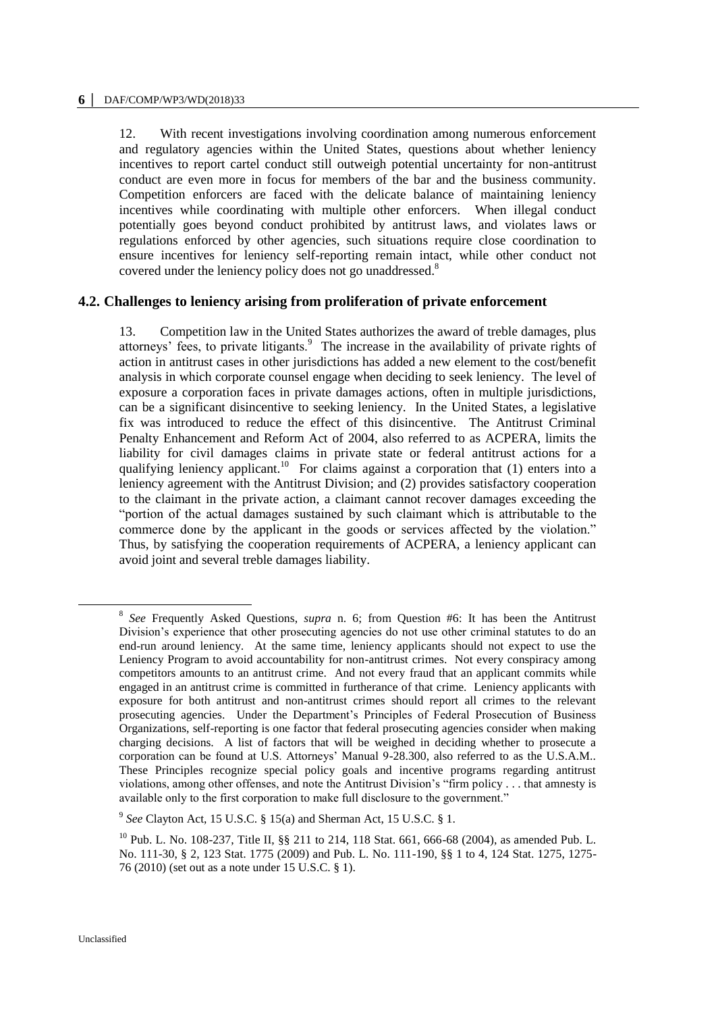#### **6 │** DAF/COMP/WP3/WD(2018)33

12. With recent investigations involving coordination among numerous enforcement and regulatory agencies within the United States, questions about whether leniency incentives to report cartel conduct still outweigh potential uncertainty for non-antitrust conduct are even more in focus for members of the bar and the business community. Competition enforcers are faced with the delicate balance of maintaining leniency incentives while coordinating with multiple other enforcers. When illegal conduct potentially goes beyond conduct prohibited by antitrust laws, and violates laws or regulations enforced by other agencies, such situations require close coordination to ensure incentives for leniency self-reporting remain intact, while other conduct not covered under the leniency policy does not go unaddressed.<sup>8</sup>

# **4.2. Challenges to leniency arising from proliferation of private enforcement**

13. Competition law in the United States authorizes the award of treble damages, plus attorneys' fees, to private litigants.<sup>9</sup> The increase in the availability of private rights of action in antitrust cases in other jurisdictions has added a new element to the cost/benefit analysis in which corporate counsel engage when deciding to seek leniency. The level of exposure a corporation faces in private damages actions, often in multiple jurisdictions, can be a significant disincentive to seeking leniency. In the United States, a legislative fix was introduced to reduce the effect of this disincentive. The Antitrust Criminal Penalty Enhancement and Reform Act of 2004, also referred to as ACPERA, limits the liability for civil damages claims in private state or federal antitrust actions for a qualifying leniency applicant.<sup>10</sup> For claims against a corporation that  $(1)$  enters into a leniency agreement with the Antitrust Division; and (2) provides satisfactory cooperation to the claimant in the private action, a claimant cannot recover damages exceeding the "portion of the actual damages sustained by such claimant which is attributable to the commerce done by the applicant in the goods or services affected by the violation." Thus, by satisfying the cooperation requirements of ACPERA, a leniency applicant can avoid joint and several treble damages liability.

 $\overline{a}$ 

<sup>8</sup> *See* Frequently Asked Questions, *supra* n. 6; from Question #6: It has been the Antitrust Division's experience that other prosecuting agencies do not use other criminal statutes to do an end-run around leniency. At the same time, leniency applicants should not expect to use the Leniency Program to avoid accountability for non-antitrust crimes. Not every conspiracy among competitors amounts to an antitrust crime. And not every fraud that an applicant commits while engaged in an antitrust crime is committed in furtherance of that crime. Leniency applicants with exposure for both antitrust and non-antitrust crimes should report all crimes to the relevant prosecuting agencies. Under the Department's Principles of Federal Prosecution of Business Organizations, self-reporting is one factor that federal prosecuting agencies consider when making charging decisions. A list of factors that will be weighed in deciding whether to prosecute a corporation can be found at U.S. Attorneys' Manual 9-28.300, also referred to as the U.S.A.M.. These Principles recognize special policy goals and incentive programs regarding antitrust violations, among other offenses, and note the Antitrust Division's "firm policy . . . that amnesty is available only to the first corporation to make full disclosure to the government."

<sup>9</sup> *See* Clayton Act, 15 U.S.C. § 15(a) and Sherman Act, 15 U.S.C. § 1.

<sup>&</sup>lt;sup>10</sup> Pub. L. No. 108-237, Title II, §§ 211 to 214, 118 Stat. 661, 666-68 (2004), as amended Pub. L. No. 111-30, § 2, 123 Stat. 1775 (2009) and Pub. L. No. 111-190, §§ 1 to 4, 124 Stat. 1275, 1275- 76 (2010) (set out as a note under 15 U.S.C. § 1).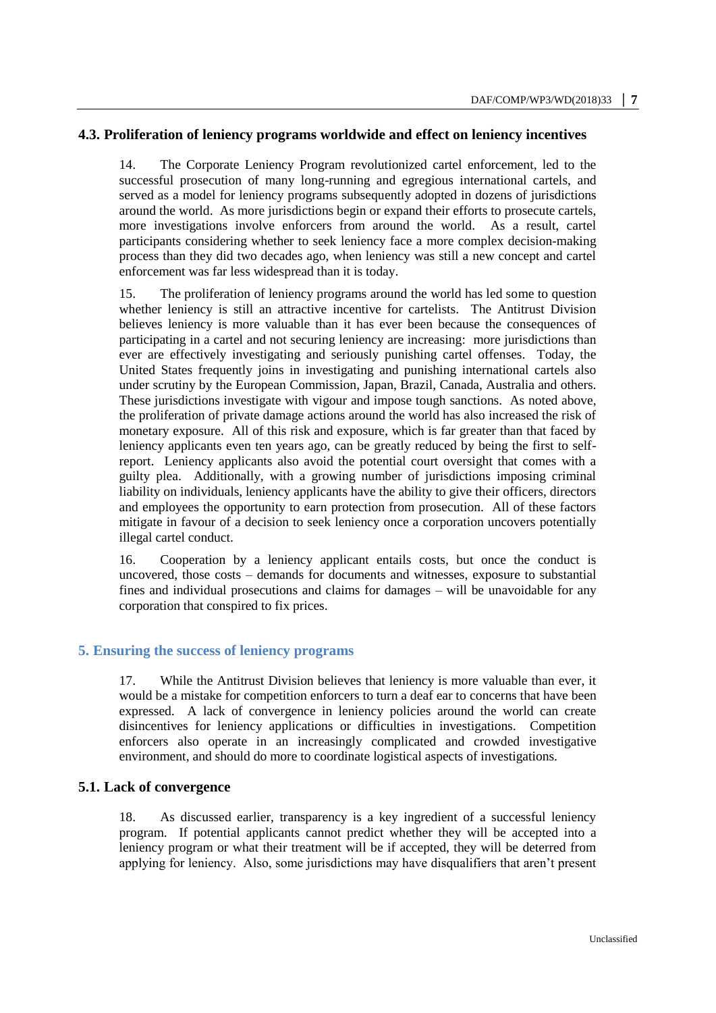#### **4.3. Proliferation of leniency programs worldwide and effect on leniency incentives**

14. The Corporate Leniency Program revolutionized cartel enforcement, led to the successful prosecution of many long-running and egregious international cartels, and served as a model for leniency programs subsequently adopted in dozens of jurisdictions around the world. As more jurisdictions begin or expand their efforts to prosecute cartels, more investigations involve enforcers from around the world. As a result, cartel participants considering whether to seek leniency face a more complex decision-making process than they did two decades ago, when leniency was still a new concept and cartel enforcement was far less widespread than it is today.

15. The proliferation of leniency programs around the world has led some to question whether leniency is still an attractive incentive for cartelists. The Antitrust Division believes leniency is more valuable than it has ever been because the consequences of participating in a cartel and not securing leniency are increasing: more jurisdictions than ever are effectively investigating and seriously punishing cartel offenses. Today, the United States frequently joins in investigating and punishing international cartels also under scrutiny by the European Commission, Japan, Brazil, Canada, Australia and others. These jurisdictions investigate with vigour and impose tough sanctions. As noted above, the proliferation of private damage actions around the world has also increased the risk of monetary exposure. All of this risk and exposure, which is far greater than that faced by leniency applicants even ten years ago, can be greatly reduced by being the first to selfreport. Leniency applicants also avoid the potential court oversight that comes with a guilty plea. Additionally, with a growing number of jurisdictions imposing criminal liability on individuals, leniency applicants have the ability to give their officers, directors and employees the opportunity to earn protection from prosecution. All of these factors mitigate in favour of a decision to seek leniency once a corporation uncovers potentially illegal cartel conduct.

16. Cooperation by a leniency applicant entails costs, but once the conduct is uncovered, those costs – demands for documents and witnesses, exposure to substantial fines and individual prosecutions and claims for damages – will be unavoidable for any corporation that conspired to fix prices.

#### **5. Ensuring the success of leniency programs**

17. While the Antitrust Division believes that leniency is more valuable than ever, it would be a mistake for competition enforcers to turn a deaf ear to concerns that have been expressed. A lack of convergence in leniency policies around the world can create disincentives for leniency applications or difficulties in investigations. Competition enforcers also operate in an increasingly complicated and crowded investigative environment, and should do more to coordinate logistical aspects of investigations.

#### **5.1. Lack of convergence**

18. As discussed earlier, transparency is a key ingredient of a successful leniency program. If potential applicants cannot predict whether they will be accepted into a leniency program or what their treatment will be if accepted, they will be deterred from applying for leniency. Also, some jurisdictions may have disqualifiers that aren't present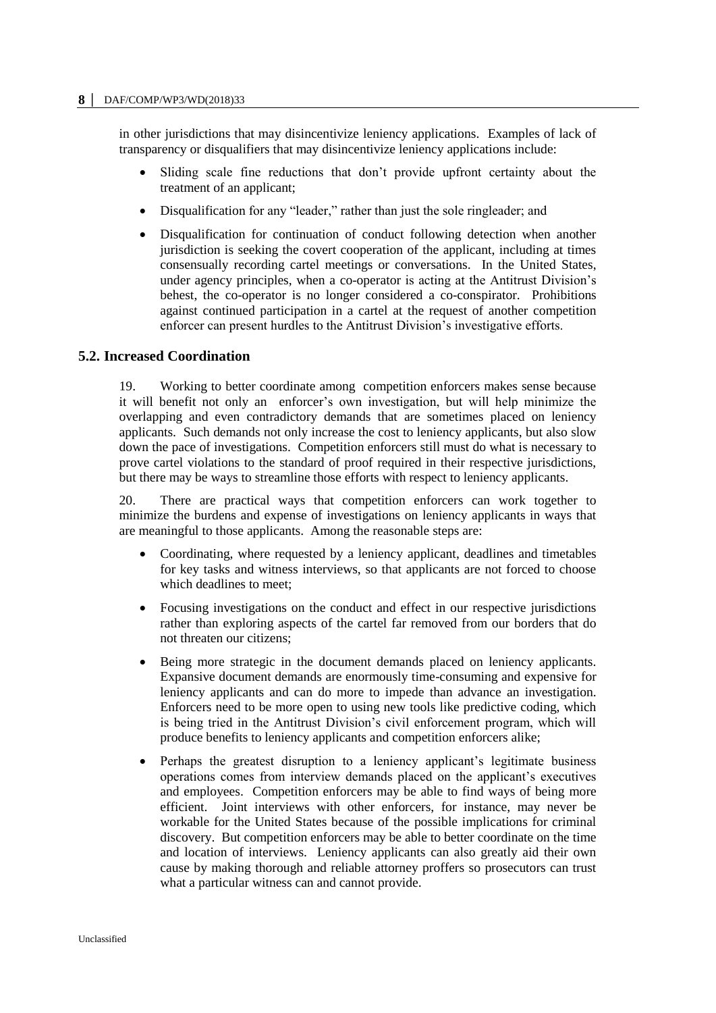in other jurisdictions that may disincentivize leniency applications. Examples of lack of transparency or disqualifiers that may disincentivize leniency applications include:

- Sliding scale fine reductions that don't provide upfront certainty about the treatment of an applicant;
- Disqualification for any "leader," rather than just the sole ringleader; and
- Disqualification for continuation of conduct following detection when another jurisdiction is seeking the covert cooperation of the applicant, including at times consensually recording cartel meetings or conversations. In the United States, under agency principles, when a co-operator is acting at the Antitrust Division's behest, the co-operator is no longer considered a co-conspirator. Prohibitions against continued participation in a cartel at the request of another competition enforcer can present hurdles to the Antitrust Division's investigative efforts.

# **5.2. Increased Coordination**

19. Working to better coordinate among competition enforcers makes sense because it will benefit not only an enforcer's own investigation, but will help minimize the overlapping and even contradictory demands that are sometimes placed on leniency applicants. Such demands not only increase the cost to leniency applicants, but also slow down the pace of investigations. Competition enforcers still must do what is necessary to prove cartel violations to the standard of proof required in their respective jurisdictions, but there may be ways to streamline those efforts with respect to leniency applicants.

20. There are practical ways that competition enforcers can work together to minimize the burdens and expense of investigations on leniency applicants in ways that are meaningful to those applicants. Among the reasonable steps are:

- Coordinating, where requested by a leniency applicant, deadlines and timetables for key tasks and witness interviews, so that applicants are not forced to choose which deadlines to meet;
- Focusing investigations on the conduct and effect in our respective jurisdictions rather than exploring aspects of the cartel far removed from our borders that do not threaten our citizens;
- Being more strategic in the document demands placed on leniency applicants. Expansive document demands are enormously time-consuming and expensive for leniency applicants and can do more to impede than advance an investigation. Enforcers need to be more open to using new tools like predictive coding, which is being tried in the Antitrust Division's civil enforcement program, which will produce benefits to leniency applicants and competition enforcers alike;
- Perhaps the greatest disruption to a leniency applicant's legitimate business operations comes from interview demands placed on the applicant's executives and employees. Competition enforcers may be able to find ways of being more efficient. Joint interviews with other enforcers, for instance, may never be workable for the United States because of the possible implications for criminal discovery. But competition enforcers may be able to better coordinate on the time and location of interviews. Leniency applicants can also greatly aid their own cause by making thorough and reliable attorney proffers so prosecutors can trust what a particular witness can and cannot provide.